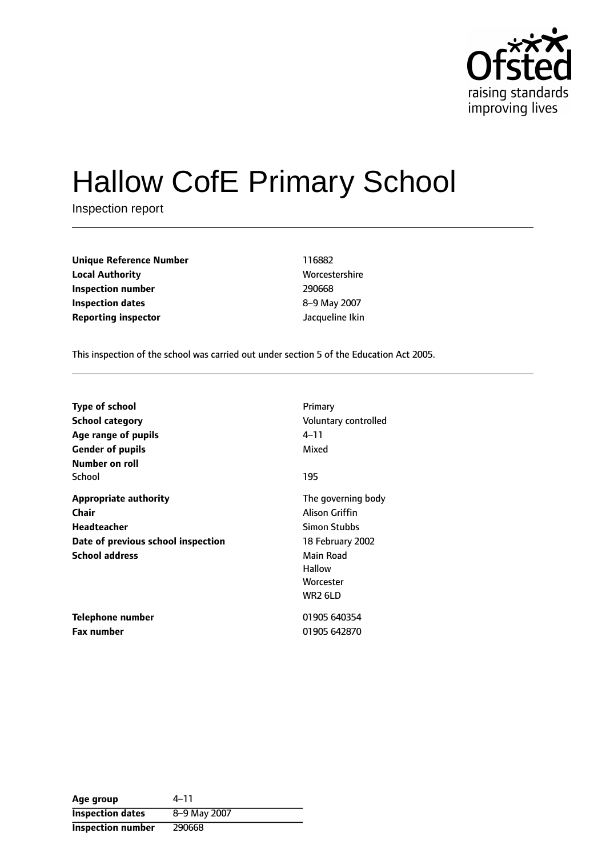

# Hallow CofE Primary School

Inspection report

| <b>Unique Reference Number</b> | 116882          |
|--------------------------------|-----------------|
| <b>Local Authority</b>         | Worcestershire  |
| Inspection number              | 290668          |
| <b>Inspection dates</b>        | 8-9 May 2007    |
| <b>Reporting inspector</b>     | Jacqueline Ikin |

**Worcestershire Inspection number** 290668 **Inspection dates** 89 May 2007

This inspection of the school was carried out under section 5 of the Education Act 2005.

| <b>Type of school</b>              | Primary              |
|------------------------------------|----------------------|
| School category                    | Voluntary controlled |
| Age range of pupils                | 4–11                 |
| <b>Gender of pupils</b>            | Mixed                |
| Number on roll                     |                      |
| School                             | 195                  |
| <b>Appropriate authority</b>       | The governing body   |
| Chair                              | Alison Griffin       |
| <b>Headteacher</b>                 | Simon Stubbs         |
| Date of previous school inspection | 18 February 2002     |
| <b>School address</b>              | Main Road            |
|                                    | <b>Hallow</b>        |
|                                    | Worcester            |
|                                    | WR2 6LD              |
| Telephone number                   | 01905 640354         |
| <b>Fax number</b>                  | 01905 642870         |

| Age group               | 4–11         |
|-------------------------|--------------|
| <b>Inspection dates</b> | 8-9 May 2007 |
| Inspection number       | 290668       |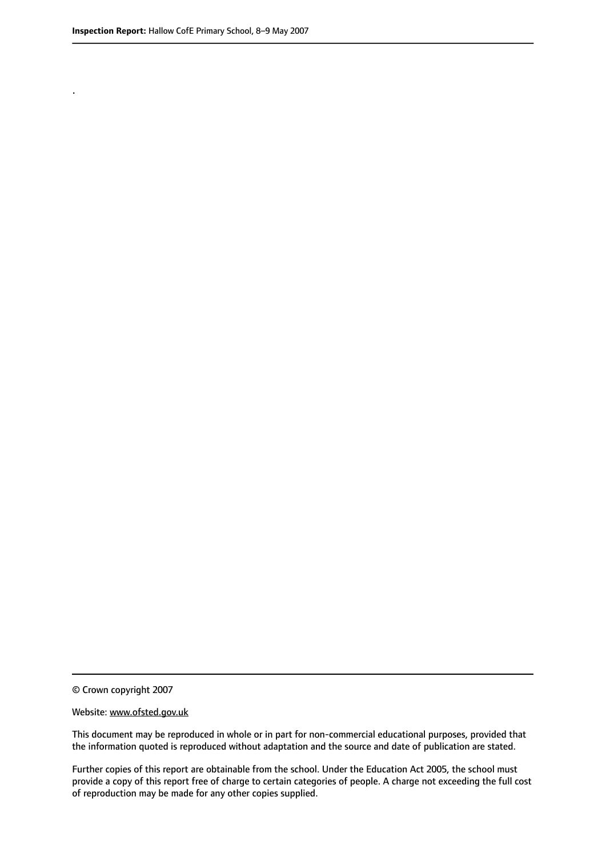.

© Crown copyright 2007

#### Website: www.ofsted.gov.uk

This document may be reproduced in whole or in part for non-commercial educational purposes, provided that the information quoted is reproduced without adaptation and the source and date of publication are stated.

Further copies of this report are obtainable from the school. Under the Education Act 2005, the school must provide a copy of this report free of charge to certain categories of people. A charge not exceeding the full cost of reproduction may be made for any other copies supplied.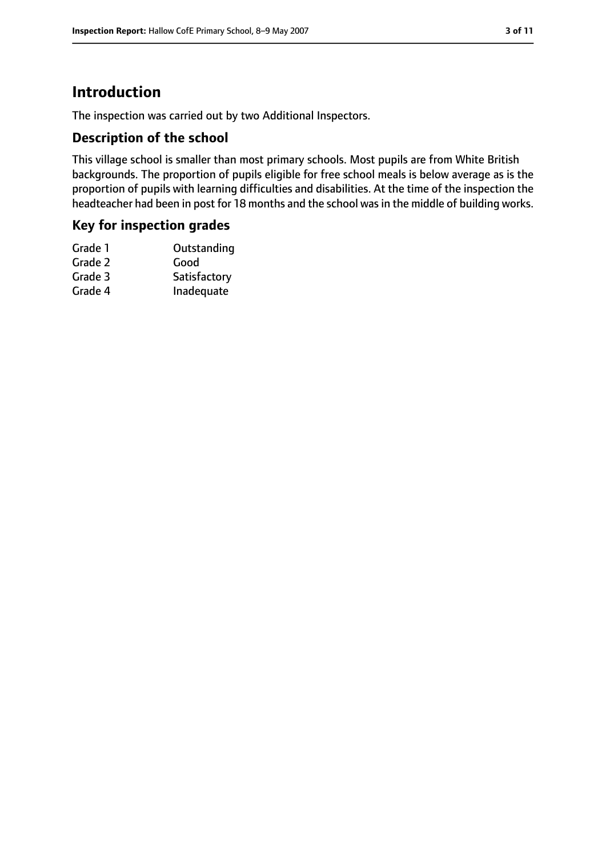## **Introduction**

The inspection was carried out by two Additional Inspectors.

#### **Description of the school**

This village school is smaller than most primary schools. Most pupils are from White British backgrounds. The proportion of pupils eligible for free school meals is below average as is the proportion of pupils with learning difficulties and disabilities. At the time of the inspection the headteacher had been in post for 18 months and the school was in the middle of building works.

#### **Key for inspection grades**

| Satisfactory |
|--------------|
| Inadequate   |
|              |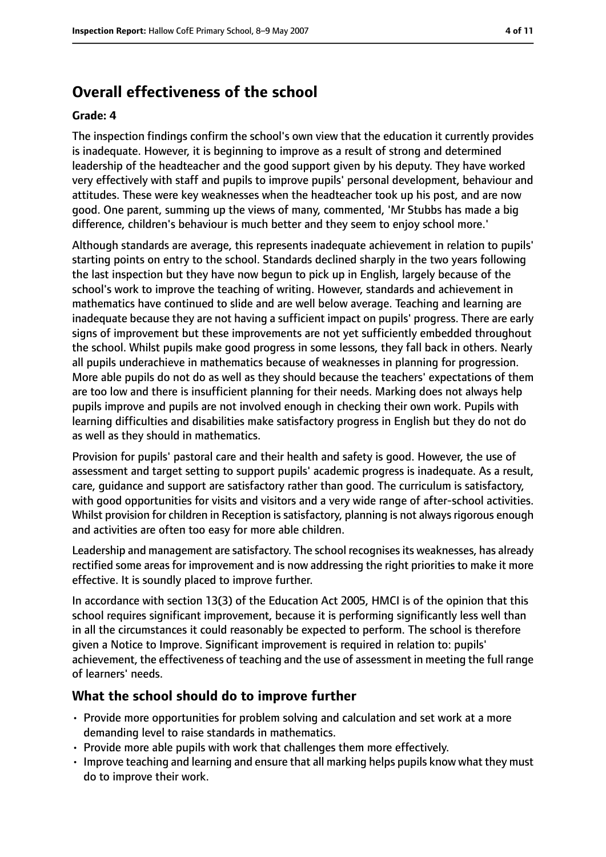## **Overall effectiveness of the school**

#### **Grade: 4**

The inspection findings confirm the school's own view that the education it currently provides is inadequate. However, it is beginning to improve as a result of strong and determined leadership of the headteacher and the good support given by his deputy. They have worked very effectively with staff and pupils to improve pupils' personal development, behaviour and attitudes. These were key weaknesses when the headteacher took up his post, and are now good. One parent, summing up the views of many, commented, 'Mr Stubbs has made a big difference, children's behaviour is much better and they seem to enjoy school more.'

Although standards are average, this represents inadequate achievement in relation to pupils' starting points on entry to the school. Standards declined sharply in the two years following the last inspection but they have now begun to pick up in English, largely because of the school's work to improve the teaching of writing. However, standards and achievement in mathematics have continued to slide and are well below average. Teaching and learning are inadequate because they are not having a sufficient impact on pupils' progress. There are early signs of improvement but these improvements are not yet sufficiently embedded throughout the school. Whilst pupils make good progress in some lessons, they fall back in others. Nearly all pupils underachieve in mathematics because of weaknesses in planning for progression. More able pupils do not do as well as they should because the teachers' expectations of them are too low and there is insufficient planning for their needs. Marking does not always help pupils improve and pupils are not involved enough in checking their own work. Pupils with learning difficulties and disabilities make satisfactory progress in English but they do not do as well as they should in mathematics.

Provision for pupils' pastoral care and their health and safety is good. However, the use of assessment and target setting to support pupils' academic progress is inadequate. As a result, care, guidance and support are satisfactory rather than good. The curriculum is satisfactory, with good opportunities for visits and visitors and a very wide range of after-school activities. Whilst provision for children in Reception is satisfactory, planning is not always rigorous enough and activities are often too easy for more able children.

Leadership and management are satisfactory. The school recognises its weaknesses, has already rectified some areas for improvement and is now addressing the right priorities to make it more effective. It is soundly placed to improve further.

In accordance with section 13(3) of the Education Act 2005, HMCI is of the opinion that this school requires significant improvement, because it is performing significantly less well than in all the circumstances it could reasonably be expected to perform. The school is therefore given a Notice to Improve. Significant improvement is required in relation to: pupils' achievement, the effectiveness of teaching and the use of assessment in meeting the full range of learners' needs.

#### **What the school should do to improve further**

- Provide more opportunities for problem solving and calculation and set work at a more demanding level to raise standards in mathematics.
- Provide more able pupils with work that challenges them more effectively.
- Improve teaching and learning and ensure that all marking helps pupils know what they must do to improve their work.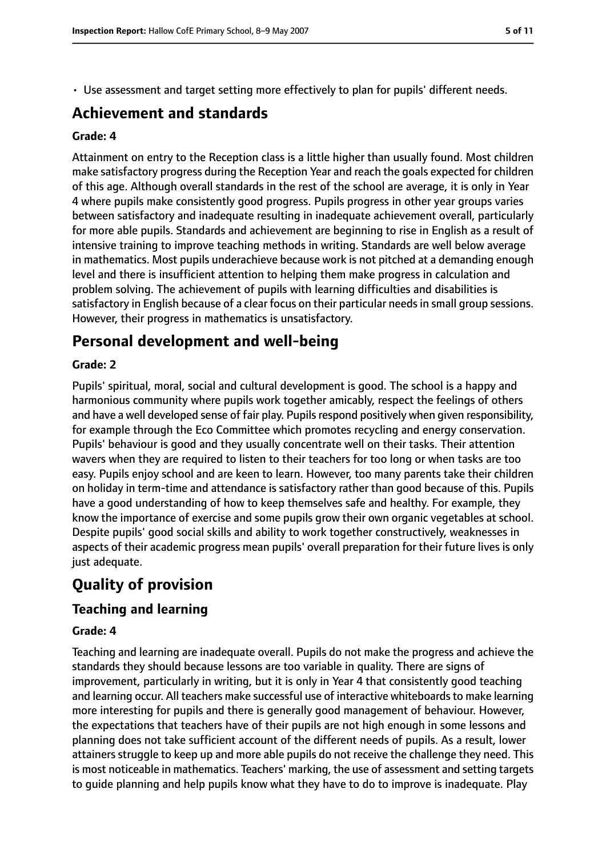• Use assessment and target setting more effectively to plan for pupils' different needs.

## **Achievement and standards**

#### **Grade: 4**

Attainment on entry to the Reception class is a little higher than usually found. Most children make satisfactory progress during the Reception Year and reach the goals expected for children of this age. Although overall standards in the rest of the school are average, it is only in Year 4 where pupils make consistently good progress. Pupils progress in other year groups varies between satisfactory and inadequate resulting in inadequate achievement overall, particularly for more able pupils. Standards and achievement are beginning to rise in English as a result of intensive training to improve teaching methods in writing. Standards are well below average in mathematics. Most pupils underachieve because work is not pitched at a demanding enough level and there is insufficient attention to helping them make progress in calculation and problem solving. The achievement of pupils with learning difficulties and disabilities is satisfactory in English because of a clear focus on their particular needs in small group sessions. However, their progress in mathematics is unsatisfactory.

## **Personal development and well-being**

#### **Grade: 2**

Pupils' spiritual, moral, social and cultural development is good. The school is a happy and harmonious community where pupils work together amicably, respect the feelings of others and have a well developed sense of fair play. Pupils respond positively when given responsibility, for example through the Eco Committee which promotes recycling and energy conservation. Pupils' behaviour is good and they usually concentrate well on their tasks. Their attention wavers when they are required to listen to their teachers for too long or when tasks are too easy. Pupils enjoy school and are keen to learn. However, too many parents take their children on holiday in term-time and attendance is satisfactory rather than good because of this. Pupils have a good understanding of how to keep themselves safe and healthy. For example, they know the importance of exercise and some pupils grow their own organic vegetables at school. Despite pupils' good social skills and ability to work together constructively, weaknesses in aspects of their academic progress mean pupils' overall preparation for their future lives is only just adequate.

## **Quality of provision**

#### **Teaching and learning**

#### **Grade: 4**

Teaching and learning are inadequate overall. Pupils do not make the progress and achieve the standards they should because lessons are too variable in quality. There are signs of improvement, particularly in writing, but it is only in Year 4 that consistently good teaching and learning occur. All teachers make successful use of interactive whiteboards to make learning more interesting for pupils and there is generally good management of behaviour. However, the expectations that teachers have of their pupils are not high enough in some lessons and planning does not take sufficient account of the different needs of pupils. As a result, lower attainers struggle to keep up and more able pupils do not receive the challenge they need. This is most noticeable in mathematics. Teachers' marking, the use of assessment and setting targets to guide planning and help pupils know what they have to do to improve is inadequate. Play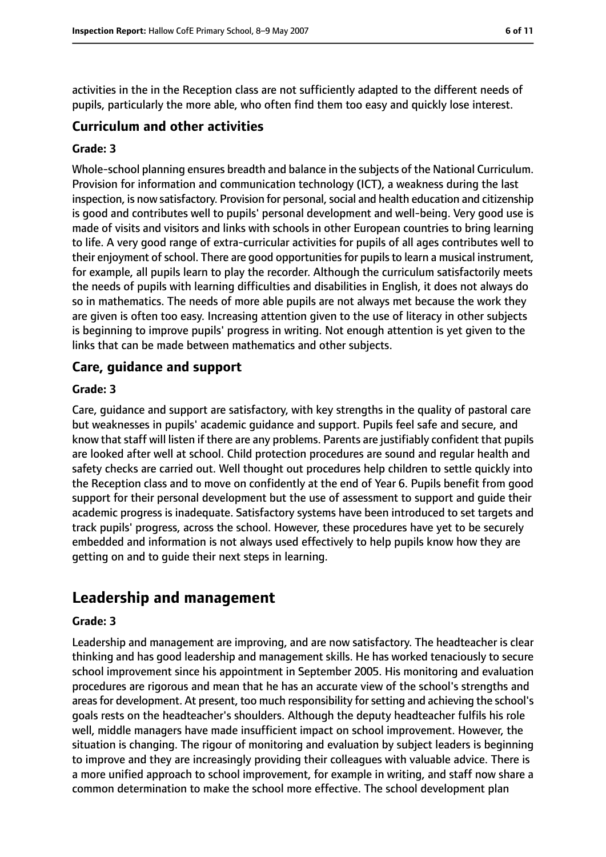activities in the in the Reception class are not sufficiently adapted to the different needs of pupils, particularly the more able, who often find them too easy and quickly lose interest.

#### **Curriculum and other activities**

#### **Grade: 3**

Whole-school planning ensures breadth and balance in the subjects of the National Curriculum. Provision for information and communication technology (ICT), a weakness during the last inspection, is now satisfactory. Provision for personal, social and health education and citizenship is good and contributes well to pupils' personal development and well-being. Very good use is made of visits and visitors and links with schools in other European countries to bring learning to life. A very good range of extra-curricular activities for pupils of all ages contributes well to their enjoyment of school. There are good opportunities for pupils to learn a musical instrument, for example, all pupils learn to play the recorder. Although the curriculum satisfactorily meets the needs of pupils with learning difficulties and disabilities in English, it does not always do so in mathematics. The needs of more able pupils are not always met because the work they are given is often too easy. Increasing attention given to the use of literacy in other subjects is beginning to improve pupils' progress in writing. Not enough attention is yet given to the links that can be made between mathematics and other subjects.

#### **Care, guidance and support**

#### **Grade: 3**

Care, guidance and support are satisfactory, with key strengths in the quality of pastoral care but weaknesses in pupils' academic guidance and support. Pupils feel safe and secure, and know that staff will listen if there are any problems. Parents are justifiably confident that pupils are looked after well at school. Child protection procedures are sound and regular health and safety checks are carried out. Well thought out procedures help children to settle quickly into the Reception class and to move on confidently at the end of Year 6. Pupils benefit from good support for their personal development but the use of assessment to support and guide their academic progress is inadequate. Satisfactory systems have been introduced to set targets and track pupils' progress, across the school. However, these procedures have yet to be securely embedded and information is not always used effectively to help pupils know how they are getting on and to guide their next steps in learning.

## **Leadership and management**

#### **Grade: 3**

Leadership and management are improving, and are now satisfactory. The headteacher is clear thinking and has good leadership and management skills. He has worked tenaciously to secure school improvement since his appointment in September 2005. His monitoring and evaluation procedures are rigorous and mean that he has an accurate view of the school's strengths and areas for development. At present, too much responsibility for setting and achieving the school's goals rests on the headteacher's shoulders. Although the deputy headteacher fulfils his role well, middle managers have made insufficient impact on school improvement. However, the situation is changing. The rigour of monitoring and evaluation by subject leaders is beginning to improve and they are increasingly providing their colleagues with valuable advice. There is a more unified approach to school improvement, for example in writing, and staff now share a common determination to make the school more effective. The school development plan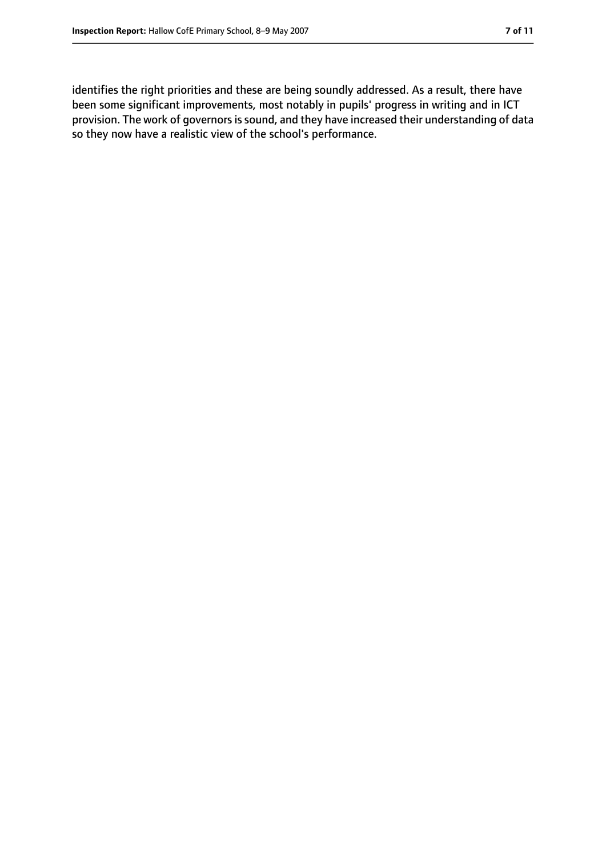identifies the right priorities and these are being soundly addressed. As a result, there have been some significant improvements, most notably in pupils' progress in writing and in ICT provision. The work of governors is sound, and they have increased their understanding of data so they now have a realistic view of the school's performance.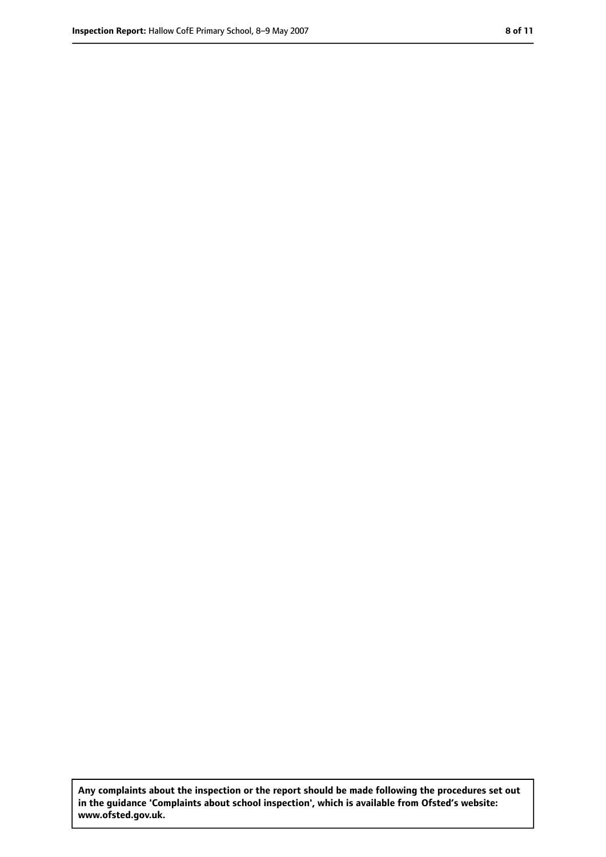**Any complaints about the inspection or the report should be made following the procedures set out in the guidance 'Complaints about school inspection', which is available from Ofsted's website: www.ofsted.gov.uk.**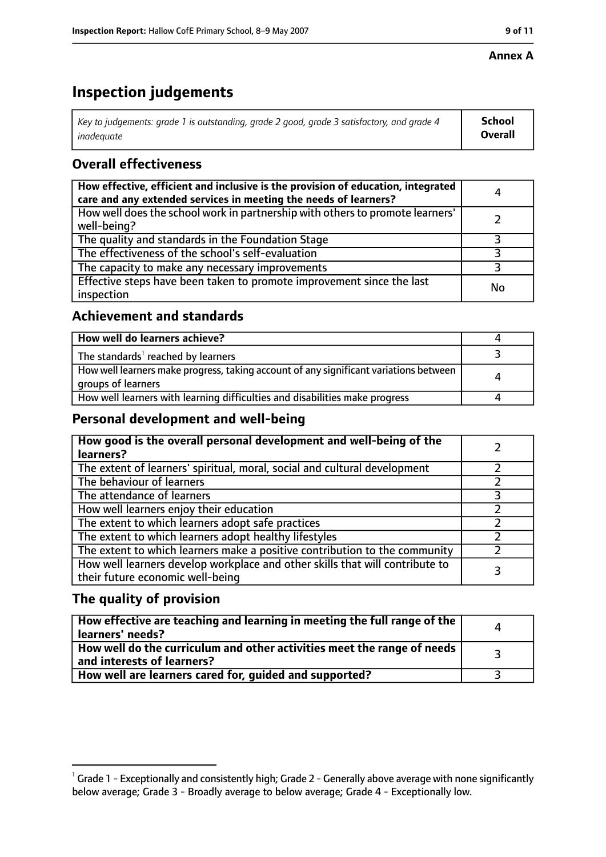#### **Annex A**

## **Inspection judgements**

| Key to judgements: grade 1 is outstanding, grade 2 good, grade 3 satisfactory, and grade 4 $\,$ | <b>School</b>  |
|-------------------------------------------------------------------------------------------------|----------------|
| inadequate                                                                                      | <b>Overall</b> |

### **Overall effectiveness**

| How effective, efficient and inclusive is the provision of education, integrated<br>care and any extended services in meeting the needs of learners? | 4  |
|------------------------------------------------------------------------------------------------------------------------------------------------------|----|
| How well does the school work in partnership with others to promote learners'<br>well-being?                                                         |    |
| The quality and standards in the Foundation Stage                                                                                                    |    |
| The effectiveness of the school's self-evaluation                                                                                                    |    |
| The capacity to make any necessary improvements                                                                                                      |    |
| Effective steps have been taken to promote improvement since the last<br>inspection                                                                  | No |

#### **Achievement and standards**

| How well do learners achieve?                                                                               |  |
|-------------------------------------------------------------------------------------------------------------|--|
| The standards <sup>1</sup> reached by learners                                                              |  |
| How well learners make progress, taking account of any significant variations between<br>groups of learners |  |
| How well learners with learning difficulties and disabilities make progress                                 |  |

#### **Personal development and well-being**

| How good is the overall personal development and well-being of the<br>learners?                                  |  |
|------------------------------------------------------------------------------------------------------------------|--|
| The extent of learners' spiritual, moral, social and cultural development                                        |  |
| The behaviour of learners                                                                                        |  |
| The attendance of learners                                                                                       |  |
| How well learners enjoy their education                                                                          |  |
| The extent to which learners adopt safe practices                                                                |  |
| The extent to which learners adopt healthy lifestyles                                                            |  |
| The extent to which learners make a positive contribution to the community                                       |  |
| How well learners develop workplace and other skills that will contribute to<br>their future economic well-being |  |

### **The quality of provision**

| How effective are teaching and learning in meeting the full range of the<br>learners' needs?          | $\Lambda$ |
|-------------------------------------------------------------------------------------------------------|-----------|
| How well do the curriculum and other activities meet the range of needs<br>and interests of learners? |           |
| How well are learners cared for, guided and supported?                                                |           |

 $^1$  Grade 1 - Exceptionally and consistently high; Grade 2 - Generally above average with none significantly below average; Grade 3 - Broadly average to below average; Grade 4 - Exceptionally low.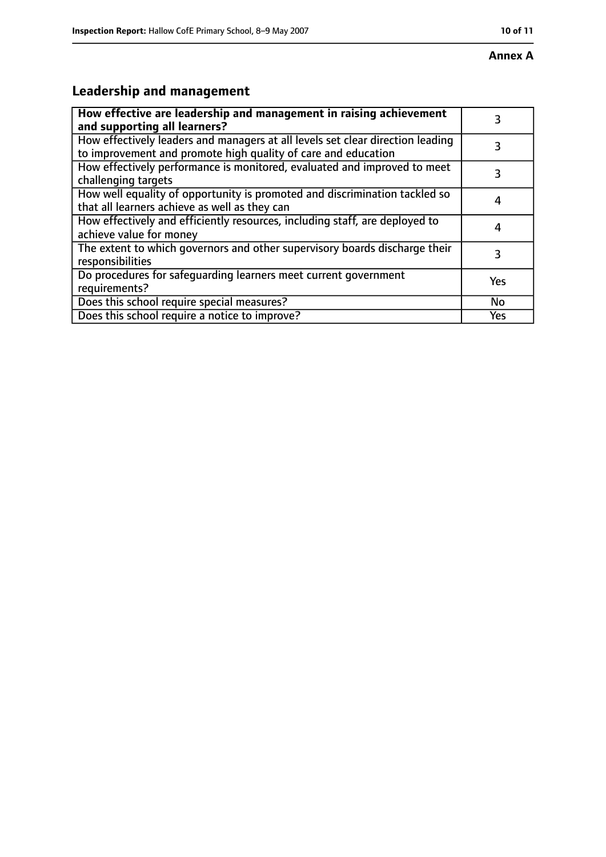## **Leadership and management**

| How effective are leadership and management in raising achievement<br>and supporting all learners?                                              | 3   |
|-------------------------------------------------------------------------------------------------------------------------------------------------|-----|
| How effectively leaders and managers at all levels set clear direction leading<br>to improvement and promote high quality of care and education |     |
| How effectively performance is monitored, evaluated and improved to meet<br>challenging targets                                                 | 3   |
| How well equality of opportunity is promoted and discrimination tackled so<br>that all learners achieve as well as they can                     |     |
| How effectively and efficiently resources, including staff, are deployed to<br>achieve value for money                                          |     |
| The extent to which governors and other supervisory boards discharge their<br>responsibilities                                                  | 3   |
| Do procedures for safequarding learners meet current government<br>requirements?                                                                | Yes |
| Does this school require special measures?                                                                                                      | No  |
| Does this school require a notice to improve?                                                                                                   | Yes |